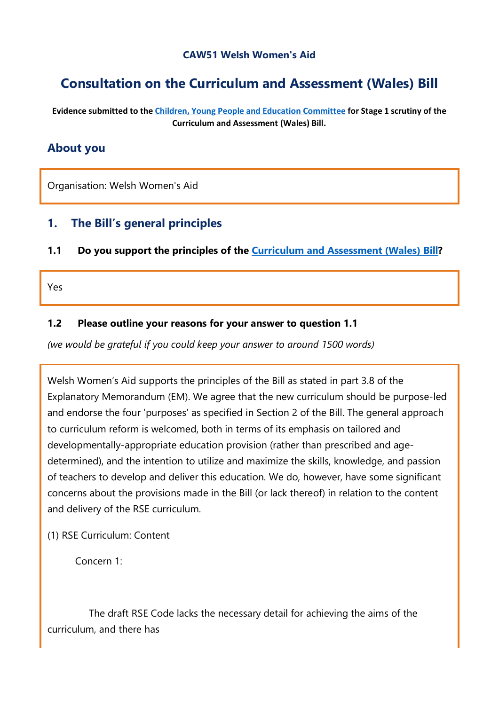#### **CAW51 Welsh Women's Aid**

# **Consultation on the Curriculum and Assessment (Wales) Bill**

**Evidence submitted to the [Children, Young People and Education Committee](http://senedd.assembly.wales/mgCommitteeDetails.aspx?ID=443) for Stage 1 scrutiny of the Curriculum and Assessment (Wales) Bill.**

### **About you**

Organisation: Welsh Women's Aid

### **1. The Bill's general principles**

**1.1 Do you support the principles of the [Curriculum and Assessment \(Wales\) Bill?](https://business.senedd.wales/mgIssueHistoryHome.aspx?IId=28836)**

Yes

#### **1.2 Please outline your reasons for your answer to question 1.1**

*(we would be grateful if you could keep your answer to around 1500 words)*

Welsh Women's Aid supports the principles of the Bill as stated in part 3.8 of the Explanatory Memorandum (EM). We agree that the new curriculum should be purpose-led and endorse the four 'purposes' as specified in Section 2 of the Bill. The general approach to curriculum reform is welcomed, both in terms of its emphasis on tailored and developmentally-appropriate education provision (rather than prescribed and agedetermined), and the intention to utilize and maximize the skills, knowledge, and passion of teachers to develop and deliver this education. We do, however, have some significant concerns about the provisions made in the Bill (or lack thereof) in relation to the content and delivery of the RSE curriculum.

#### (1) RSE Curriculum: Content

Concern 1:

 The draft RSE Code lacks the necessary detail for achieving the aims of the curriculum, and there has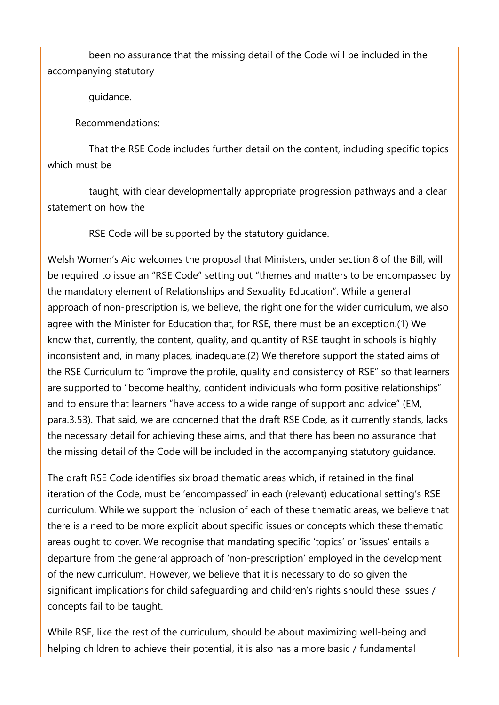been no assurance that the missing detail of the Code will be included in the accompanying statutory

guidance.

Recommendations:

 That the RSE Code includes further detail on the content, including specific topics which must be

 taught, with clear developmentally appropriate progression pathways and a clear statement on how the

RSE Code will be supported by the statutory guidance.

Welsh Women's Aid welcomes the proposal that Ministers, under section 8 of the Bill, will be required to issue an "RSE Code" setting out "themes and matters to be encompassed by the mandatory element of Relationships and Sexuality Education". While a general approach of non-prescription is, we believe, the right one for the wider curriculum, we also agree with the Minister for Education that, for RSE, there must be an exception.(1) We know that, currently, the content, quality, and quantity of RSE taught in schools is highly inconsistent and, in many places, inadequate.(2) We therefore support the stated aims of the RSE Curriculum to "improve the profile, quality and consistency of RSE" so that learners are supported to "become healthy, confident individuals who form positive relationships" and to ensure that learners "have access to a wide range of support and advice" (EM, para.3.53). That said, we are concerned that the draft RSE Code, as it currently stands, lacks the necessary detail for achieving these aims, and that there has been no assurance that the missing detail of the Code will be included in the accompanying statutory guidance.

The draft RSE Code identifies six broad thematic areas which, if retained in the final iteration of the Code, must be 'encompassed' in each (relevant) educational setting's RSE curriculum. While we support the inclusion of each of these thematic areas, we believe that there is a need to be more explicit about specific issues or concepts which these thematic areas ought to cover. We recognise that mandating specific 'topics' or 'issues' entails a departure from the general approach of 'non-prescription' employed in the development of the new curriculum. However, we believe that it is necessary to do so given the significant implications for child safeguarding and children's rights should these issues / concepts fail to be taught.

While RSE, like the rest of the curriculum, should be about maximizing well-being and helping children to achieve their potential, it is also has a more basic / fundamental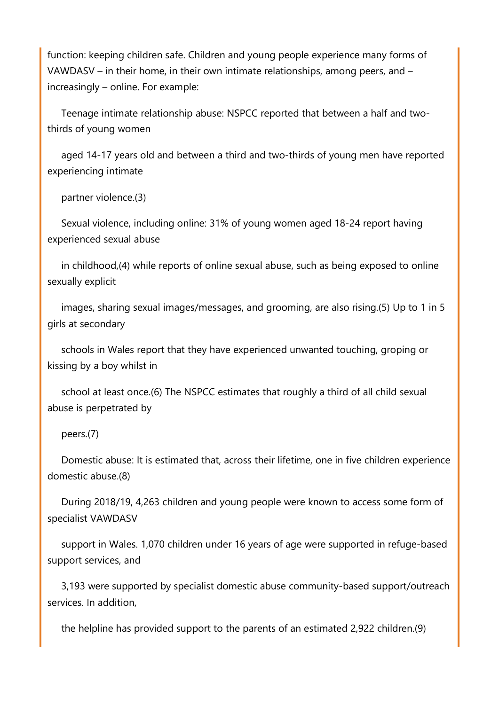function: keeping children safe. Children and young people experience many forms of VAWDASV – in their home, in their own intimate relationships, among peers, and – increasingly – online. For example:

 Teenage intimate relationship abuse: NSPCC reported that between a half and twothirds of young women

 aged 14-17 years old and between a third and two-thirds of young men have reported experiencing intimate

partner violence.(3)

 Sexual violence, including online: 31% of young women aged 18-24 report having experienced sexual abuse

 in childhood,(4) while reports of online sexual abuse, such as being exposed to online sexually explicit

 images, sharing sexual images/messages, and grooming, are also rising.(5) Up to 1 in 5 girls at secondary

 schools in Wales report that they have experienced unwanted touching, groping or kissing by a boy whilst in

 school at least once.(6) The NSPCC estimates that roughly a third of all child sexual abuse is perpetrated by

#### peers.(7)

 Domestic abuse: It is estimated that, across their lifetime, one in five children experience domestic abuse.(8)

 During 2018/19, 4,263 children and young people were known to access some form of specialist VAWDASV

 support in Wales. 1,070 children under 16 years of age were supported in refuge-based support services, and

 3,193 were supported by specialist domestic abuse community-based support/outreach services. In addition,

the helpline has provided support to the parents of an estimated 2,922 children.(9)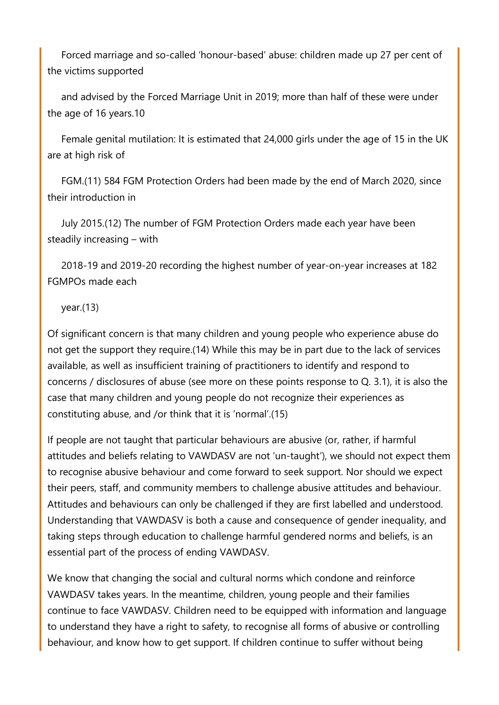Forced marriage and so-called 'honour-based' abuse: children made up 27 per cent of the victims supported

 and advised by the Forced Marriage Unit in 2019; more than half of these were under the age of 16 years.10

 Female genital mutilation: It is estimated that 24,000 girls under the age of 15 in the UK are at high risk of

 FGM.(11) 584 FGM Protection Orders had been made by the end of March 2020, since their introduction in

 July 2015.(12) The number of FGM Protection Orders made each year have been steadily increasing – with

 2018-19 and 2019-20 recording the highest number of year-on-year increases at 182 FGMPOs made each

#### year.(13)

Of significant concern is that many children and young people who experience abuse do not get the support they require.(14) While this may be in part due to the lack of services available, as well as insufficient training of practitioners to identify and respond to concerns / disclosures of abuse (see more on these points response to Q. 3.1), it is also the case that many children and young people do not recognize their experiences as constituting abuse, and /or think that it is 'normal'.(15)

If people are not taught that particular behaviours are abusive (or, rather, if harmful attitudes and beliefs relating to VAWDASV are not 'un-taught'), we should not expect them to recognise abusive behaviour and come forward to seek support. Nor should we expect their peers, staff, and community members to challenge abusive attitudes and behaviour. Attitudes and behaviours can only be challenged if they are first labelled and understood. Understanding that VAWDASV is both a cause and consequence of gender inequality, and taking steps through education to challenge harmful gendered norms and beliefs, is an essential part of the process of ending VAWDASV.

We know that changing the social and cultural norms which condone and reinforce VAWDASV takes years. In the meantime, children, young people and their families continue to face VAWDASV. Children need to be equipped with information and language to understand they have a right to safety, to recognise all forms of abusive or controlling behaviour, and know how to get support. If children continue to suffer without being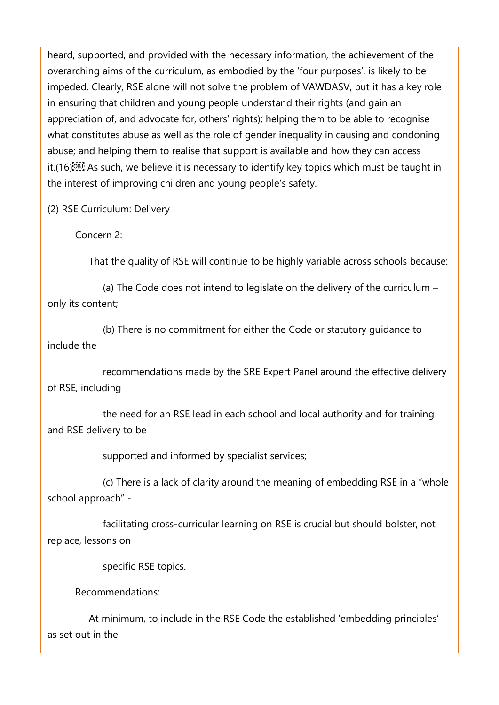heard, supported, and provided with the necessary information, the achievement of the overarching aims of the curriculum, as embodied by the 'four purposes', is likely to be impeded. Clearly, RSE alone will not solve the problem of VAWDASV, but it has a key role in ensuring that children and young people understand their rights (and gain an appreciation of, and advocate for, others' rights); helping them to be able to recognise what constitutes abuse as well as the role of gender inequality in causing and condoning abuse; and helping them to realise that support is available and how they can access it. (16) EV As such, we believe it is necessary to identify key topics which must be taught in the interest of improving children and young people's safety.

(2) RSE Curriculum: Delivery

Concern 2:

That the quality of RSE will continue to be highly variable across schools because:

 (a) The Code does not intend to legislate on the delivery of the curriculum – only its content;

 (b) There is no commitment for either the Code or statutory guidance to include the

 recommendations made by the SRE Expert Panel around the effective delivery of RSE, including

 the need for an RSE lead in each school and local authority and for training and RSE delivery to be

supported and informed by specialist services;

 (c) There is a lack of clarity around the meaning of embedding RSE in a "whole school approach" -

 facilitating cross-curricular learning on RSE is crucial but should bolster, not replace, lessons on

specific RSE topics.

Recommendations:

 At minimum, to include in the RSE Code the established 'embedding principles' as set out in the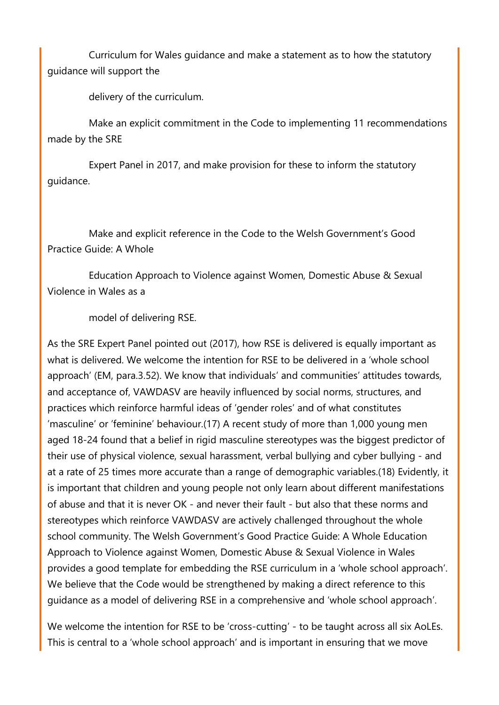Curriculum for Wales guidance and make a statement as to how the statutory guidance will support the

delivery of the curriculum.

 Make an explicit commitment in the Code to implementing 11 recommendations made by the SRE

 Expert Panel in 2017, and make provision for these to inform the statutory guidance.

 Make and explicit reference in the Code to the Welsh Government's Good Practice Guide: A Whole

 Education Approach to Violence against Women, Domestic Abuse & Sexual Violence in Wales as a

model of delivering RSE.

As the SRE Expert Panel pointed out (2017), how RSE is delivered is equally important as what is delivered. We welcome the intention for RSE to be delivered in a 'whole school approach' (EM, para.3.52). We know that individuals' and communities' attitudes towards, and acceptance of, VAWDASV are heavily influenced by social norms, structures, and practices which reinforce harmful ideas of 'gender roles' and of what constitutes 'masculine' or 'feminine' behaviour.(17) A recent study of more than 1,000 young men aged 18-24 found that a belief in rigid masculine stereotypes was the biggest predictor of their use of physical violence, sexual harassment, verbal bullying and cyber bullying - and at a rate of 25 times more accurate than a range of demographic variables.(18) Evidently, it is important that children and young people not only learn about different manifestations of abuse and that it is never OK - and never their fault - but also that these norms and stereotypes which reinforce VAWDASV are actively challenged throughout the whole school community. The Welsh Government's Good Practice Guide: A Whole Education Approach to Violence against Women, Domestic Abuse & Sexual Violence in Wales provides a good template for embedding the RSE curriculum in a 'whole school approach'. We believe that the Code would be strengthened by making a direct reference to this guidance as a model of delivering RSE in a comprehensive and 'whole school approach'.

We welcome the intention for RSE to be 'cross-cutting' - to be taught across all six AoLEs. This is central to a 'whole school approach' and is important in ensuring that we move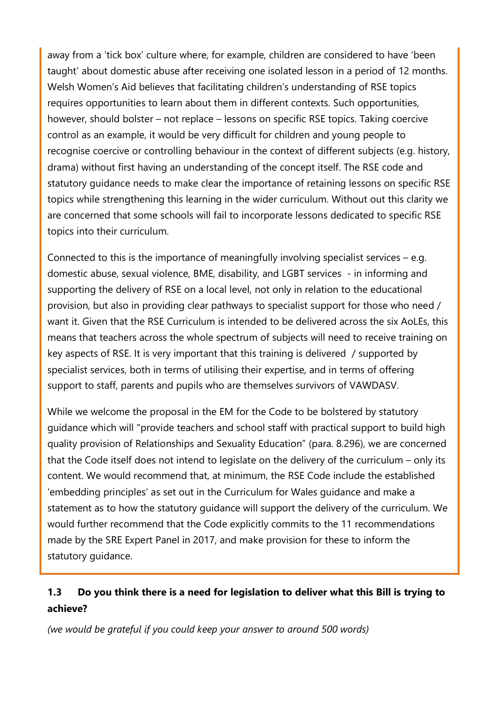away from a 'tick box' culture where, for example, children are considered to have 'been taught' about domestic abuse after receiving one isolated lesson in a period of 12 months. Welsh Women's Aid believes that facilitating children's understanding of RSE topics requires opportunities to learn about them in different contexts. Such opportunities, however, should bolster – not replace – lessons on specific RSE topics. Taking coercive control as an example, it would be very difficult for children and young people to recognise coercive or controlling behaviour in the context of different subjects (e.g. history, drama) without first having an understanding of the concept itself. The RSE code and statutory guidance needs to make clear the importance of retaining lessons on specific RSE topics while strengthening this learning in the wider curriculum. Without out this clarity we are concerned that some schools will fail to incorporate lessons dedicated to specific RSE topics into their curriculum.

Connected to this is the importance of meaningfully involving specialist services – e.g. domestic abuse, sexual violence, BME, disability, and LGBT services - in informing and supporting the delivery of RSE on a local level, not only in relation to the educational provision, but also in providing clear pathways to specialist support for those who need / want it. Given that the RSE Curriculum is intended to be delivered across the six AoLEs, this means that teachers across the whole spectrum of subjects will need to receive training on key aspects of RSE. It is very important that this training is delivered / supported by specialist services, both in terms of utilising their expertise, and in terms of offering support to staff, parents and pupils who are themselves survivors of VAWDASV.

While we welcome the proposal in the EM for the Code to be bolstered by statutory guidance which will "provide teachers and school staff with practical support to build high quality provision of Relationships and Sexuality Education" (para. 8.296), we are concerned that the Code itself does not intend to legislate on the delivery of the curriculum – only its content. We would recommend that, at minimum, the RSE Code include the established 'embedding principles' as set out in the Curriculum for Wales guidance and make a statement as to how the statutory guidance will support the delivery of the curriculum. We would further recommend that the Code explicitly commits to the 11 recommendations made by the SRE Expert Panel in 2017, and make provision for these to inform the statutory guidance.

## **1.3 Do you think there is a need for legislation to deliver what this Bill is trying to achieve?**

*(we would be grateful if you could keep your answer to around 500 words)*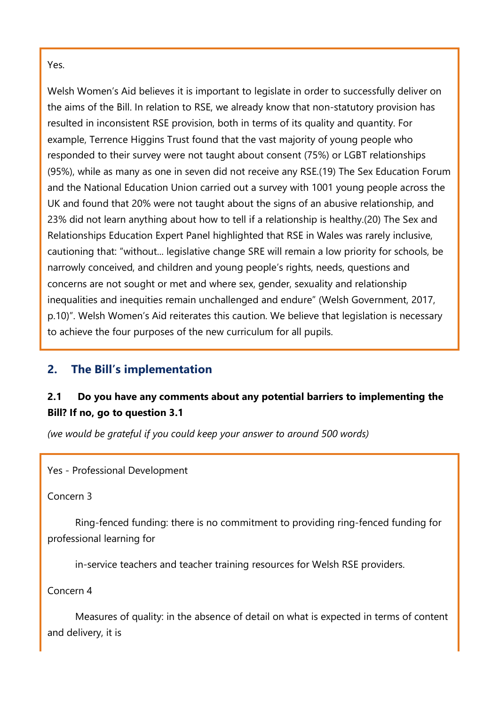Yes.

Welsh Women's Aid believes it is important to legislate in order to successfully deliver on the aims of the Bill. In relation to RSE, we already know that non-statutory provision has resulted in inconsistent RSE provision, both in terms of its quality and quantity. For example, Terrence Higgins Trust found that the vast majority of young people who responded to their survey were not taught about consent (75%) or LGBT relationships (95%), while as many as one in seven did not receive any RSE.(19) The Sex Education Forum and the National Education Union carried out a survey with 1001 young people across the UK and found that 20% were not taught about the signs of an abusive relationship, and 23% did not learn anything about how to tell if a relationship is healthy.(20) The Sex and Relationships Education Expert Panel highlighted that RSE in Wales was rarely inclusive, cautioning that: "without... legislative change SRE will remain a low priority for schools, be narrowly conceived, and children and young people's rights, needs, questions and concerns are not sought or met and where sex, gender, sexuality and relationship inequalities and inequities remain unchallenged and endure" (Welsh Government, 2017, p.10)". Welsh Women's Aid reiterates this caution. We believe that legislation is necessary to achieve the four purposes of the new curriculum for all pupils.

# **2. The Bill's implementation**

### **2.1 Do you have any comments about any potential barriers to implementing the Bill? If no, go to question 3.1**

*(we would be grateful if you could keep your answer to around 500 words)*

Yes - Professional Development

Concern 3

 Ring-fenced funding: there is no commitment to providing ring-fenced funding for professional learning for

in-service teachers and teacher training resources for Welsh RSE providers.

Concern 4

 Measures of quality: in the absence of detail on what is expected in terms of content and delivery, it is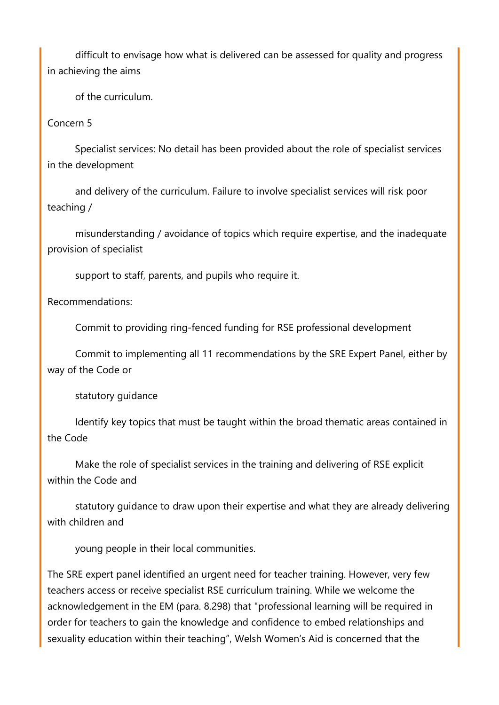difficult to envisage how what is delivered can be assessed for quality and progress in achieving the aims

of the curriculum.

#### Concern 5

 Specialist services: No detail has been provided about the role of specialist services in the development

 and delivery of the curriculum. Failure to involve specialist services will risk poor teaching /

 misunderstanding / avoidance of topics which require expertise, and the inadequate provision of specialist

support to staff, parents, and pupils who require it.

Recommendations:

Commit to providing ring-fenced funding for RSE professional development

 Commit to implementing all 11 recommendations by the SRE Expert Panel, either by way of the Code or

statutory guidance

 Identify key topics that must be taught within the broad thematic areas contained in the Code

 Make the role of specialist services in the training and delivering of RSE explicit within the Code and

 statutory guidance to draw upon their expertise and what they are already delivering with children and

young people in their local communities.

The SRE expert panel identified an urgent need for teacher training. However, very few teachers access or receive specialist RSE curriculum training. While we welcome the acknowledgement in the EM (para. 8.298) that "professional learning will be required in order for teachers to gain the knowledge and confidence to embed relationships and sexuality education within their teaching", Welsh Women's Aid is concerned that the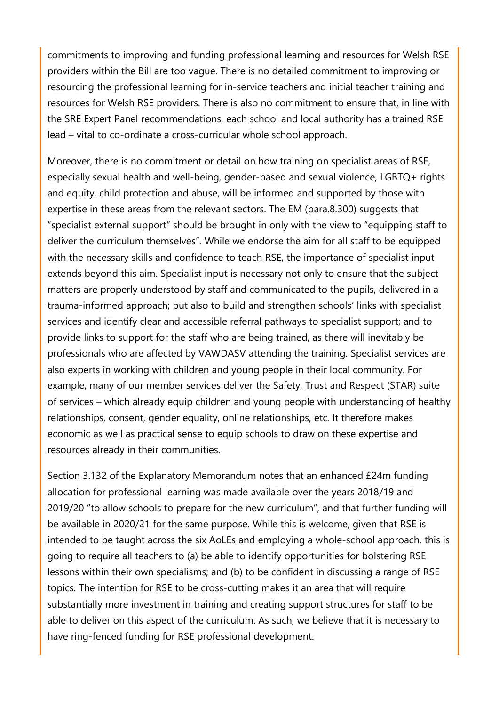commitments to improving and funding professional learning and resources for Welsh RSE providers within the Bill are too vague. There is no detailed commitment to improving or resourcing the professional learning for in-service teachers and initial teacher training and resources for Welsh RSE providers. There is also no commitment to ensure that, in line with the SRE Expert Panel recommendations, each school and local authority has a trained RSE lead – vital to co-ordinate a cross-curricular whole school approach.

Moreover, there is no commitment or detail on how training on specialist areas of RSE, especially sexual health and well-being, gender-based and sexual violence, LGBTQ+ rights and equity, child protection and abuse, will be informed and supported by those with expertise in these areas from the relevant sectors. The EM (para.8.300) suggests that "specialist external support" should be brought in only with the view to "equipping staff to deliver the curriculum themselves". While we endorse the aim for all staff to be equipped with the necessary skills and confidence to teach RSE, the importance of specialist input extends beyond this aim. Specialist input is necessary not only to ensure that the subject matters are properly understood by staff and communicated to the pupils, delivered in a trauma-informed approach; but also to build and strengthen schools' links with specialist services and identify clear and accessible referral pathways to specialist support; and to provide links to support for the staff who are being trained, as there will inevitably be professionals who are affected by VAWDASV attending the training. Specialist services are also experts in working with children and young people in their local community. For example, many of our member services deliver the Safety, Trust and Respect (STAR) suite of services – which already equip children and young people with understanding of healthy relationships, consent, gender equality, online relationships, etc. It therefore makes economic as well as practical sense to equip schools to draw on these expertise and resources already in their communities.

Section 3.132 of the Explanatory Memorandum notes that an enhanced £24m funding allocation for professional learning was made available over the years 2018/19 and 2019/20 "to allow schools to prepare for the new curriculum", and that further funding will be available in 2020/21 for the same purpose. While this is welcome, given that RSE is intended to be taught across the six AoLEs and employing a whole-school approach, this is going to require all teachers to (a) be able to identify opportunities for bolstering RSE lessons within their own specialisms; and (b) to be confident in discussing a range of RSE topics. The intention for RSE to be cross-cutting makes it an area that will require substantially more investment in training and creating support structures for staff to be able to deliver on this aspect of the curriculum. As such, we believe that it is necessary to have ring-fenced funding for RSE professional development.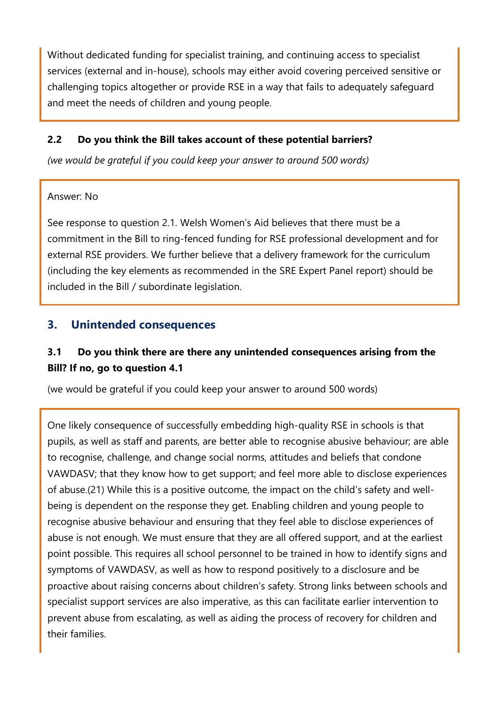Without dedicated funding for specialist training, and continuing access to specialist services (external and in-house), schools may either avoid covering perceived sensitive or challenging topics altogether or provide RSE in a way that fails to adequately safeguard and meet the needs of children and young people.

### **2.2 Do you think the Bill takes account of these potential barriers?**

*(we would be grateful if you could keep your answer to around 500 words)*

#### Answer: No

See response to question 2.1. Welsh Women's Aid believes that there must be a commitment in the Bill to ring-fenced funding for RSE professional development and for external RSE providers. We further believe that a delivery framework for the curriculum (including the key elements as recommended in the SRE Expert Panel report) should be included in the Bill / subordinate legislation.

### **3. Unintended consequences**

## **3.1 Do you think there are there any unintended consequences arising from the Bill? If no, go to question 4.1**

(we would be grateful if you could keep your answer to around 500 words)

One likely consequence of successfully embedding high-quality RSE in schools is that pupils, as well as staff and parents, are better able to recognise abusive behaviour; are able to recognise, challenge, and change social norms, attitudes and beliefs that condone VAWDASV; that they know how to get support; and feel more able to disclose experiences of abuse.(21) While this is a positive outcome, the impact on the child's safety and wellbeing is dependent on the response they get. Enabling children and young people to recognise abusive behaviour and ensuring that they feel able to disclose experiences of abuse is not enough. We must ensure that they are all offered support, and at the earliest point possible. This requires all school personnel to be trained in how to identify signs and symptoms of VAWDASV, as well as how to respond positively to a disclosure and be proactive about raising concerns about children's safety. Strong links between schools and specialist support services are also imperative, as this can facilitate earlier intervention to prevent abuse from escalating, as well as aiding the process of recovery for children and their families.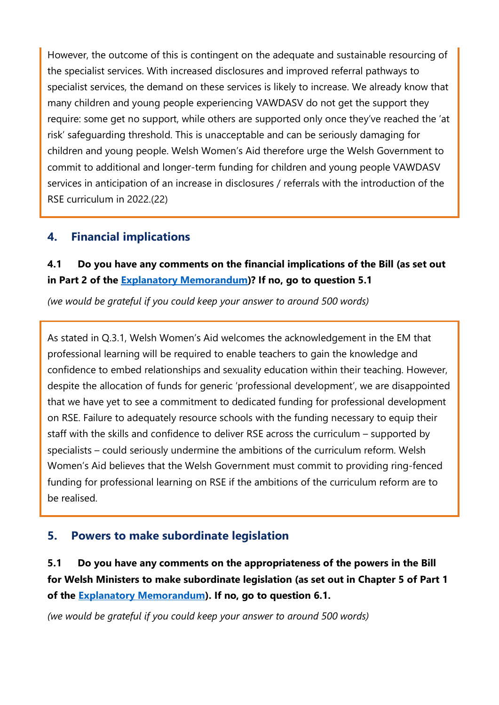However, the outcome of this is contingent on the adequate and sustainable resourcing of the specialist services. With increased disclosures and improved referral pathways to specialist services, the demand on these services is likely to increase. We already know that many children and young people experiencing VAWDASV do not get the support they require: some get no support, while others are supported only once they've reached the 'at risk' safeguarding threshold. This is unacceptable and can be seriously damaging for children and young people. Welsh Women's Aid therefore urge the Welsh Government to commit to additional and longer-term funding for children and young people VAWDASV services in anticipation of an increase in disclosures / referrals with the introduction of the RSE curriculum in 2022.(22)

## **4. Financial implications**

## **4.1 Do you have any comments on the financial implications of the Bill (as set out in Part 2 of the [Explanatory Memorandum\)](https://senedd.wales/laid%20documents/pri-ld13294-em/pri-ld13294-em%20-e.pdf)? If no, go to question 5.1**

*(we would be grateful if you could keep your answer to around 500 words)*

As stated in Q.3.1, Welsh Women's Aid welcomes the acknowledgement in the EM that professional learning will be required to enable teachers to gain the knowledge and confidence to embed relationships and sexuality education within their teaching. However, despite the allocation of funds for generic 'professional development', we are disappointed that we have yet to see a commitment to dedicated funding for professional development on RSE. Failure to adequately resource schools with the funding necessary to equip their staff with the skills and confidence to deliver RSE across the curriculum – supported by specialists – could seriously undermine the ambitions of the curriculum reform. Welsh Women's Aid believes that the Welsh Government must commit to providing ring-fenced funding for professional learning on RSE if the ambitions of the curriculum reform are to be realised.

# **5. Powers to make subordinate legislation**

**5.1 Do you have any comments on the appropriateness of the powers in the Bill for Welsh Ministers to make subordinate legislation (as set out in Chapter 5 of Part 1 of the [Explanatory Memorandum\)](https://senedd.wales/laid%20documents/pri-ld13294-em/pri-ld13294-em%20-e.pdf). If no, go to question 6.1.**

*(we would be grateful if you could keep your answer to around 500 words)*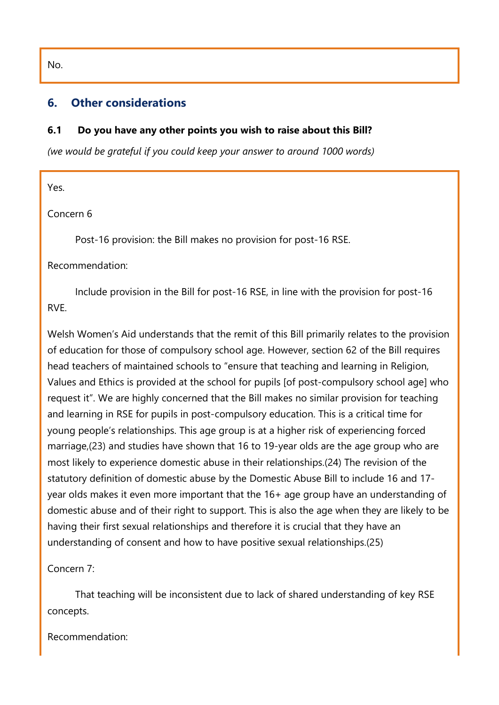### **6. Other considerations**

#### **6.1 Do you have any other points you wish to raise about this Bill?**

*(we would be grateful if you could keep your answer to around 1000 words)*

Yes.

Concern 6

Post-16 provision: the Bill makes no provision for post-16 RSE.

Recommendation:

 Include provision in the Bill for post-16 RSE, in line with the provision for post-16 RVE.

Welsh Women's Aid understands that the remit of this Bill primarily relates to the provision of education for those of compulsory school age. However, section 62 of the Bill requires head teachers of maintained schools to "ensure that teaching and learning in Religion, Values and Ethics is provided at the school for pupils [of post-compulsory school age] who request it". We are highly concerned that the Bill makes no similar provision for teaching and learning in RSE for pupils in post-compulsory education. This is a critical time for young people's relationships. This age group is at a higher risk of experiencing forced marriage,(23) and studies have shown that 16 to 19-year olds are the age group who are most likely to experience domestic abuse in their relationships.(24) The revision of the statutory definition of domestic abuse by the Domestic Abuse Bill to include 16 and 17 year olds makes it even more important that the 16+ age group have an understanding of domestic abuse and of their right to support. This is also the age when they are likely to be having their first sexual relationships and therefore it is crucial that they have an understanding of consent and how to have positive sexual relationships.(25)

Concern 7:

 That teaching will be inconsistent due to lack of shared understanding of key RSE concepts.

Recommendation:

No.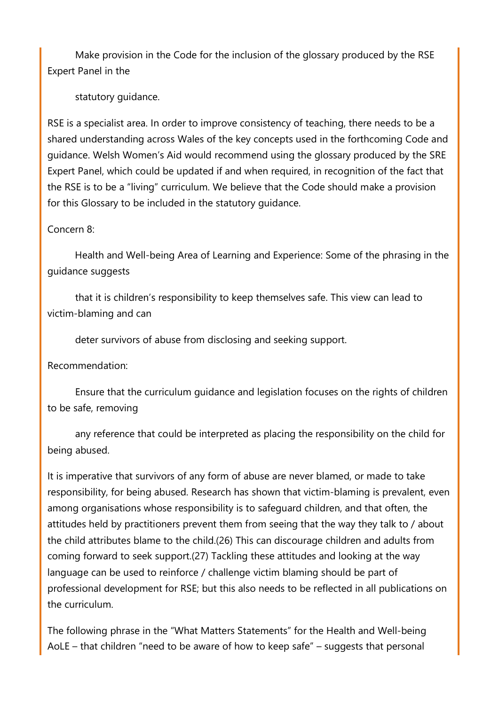Make provision in the Code for the inclusion of the glossary produced by the RSE Expert Panel in the

statutory guidance.

RSE is a specialist area. In order to improve consistency of teaching, there needs to be a shared understanding across Wales of the key concepts used in the forthcoming Code and guidance. Welsh Women's Aid would recommend using the glossary produced by the SRE Expert Panel, which could be updated if and when required, in recognition of the fact that the RSE is to be a "living" curriculum. We believe that the Code should make a provision for this Glossary to be included in the statutory guidance.

#### Concern 8:

 Health and Well-being Area of Learning and Experience: Some of the phrasing in the guidance suggests

 that it is children's responsibility to keep themselves safe. This view can lead to victim-blaming and can

deter survivors of abuse from disclosing and seeking support.

Recommendation:

 Ensure that the curriculum guidance and legislation focuses on the rights of children to be safe, removing

 any reference that could be interpreted as placing the responsibility on the child for being abused.

It is imperative that survivors of any form of abuse are never blamed, or made to take responsibility, for being abused. Research has shown that victim-blaming is prevalent, even among organisations whose responsibility is to safeguard children, and that often, the attitudes held by practitioners prevent them from seeing that the way they talk to / about the child attributes blame to the child.(26) This can discourage children and adults from coming forward to seek support.(27) Tackling these attitudes and looking at the way language can be used to reinforce / challenge victim blaming should be part of professional development for RSE; but this also needs to be reflected in all publications on the curriculum.

The following phrase in the "What Matters Statements" for the Health and Well-being AoLE – that children "need to be aware of how to keep safe" – suggests that personal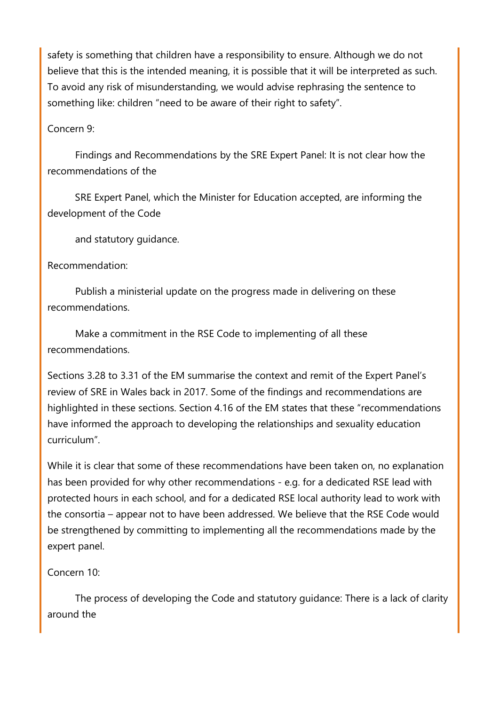safety is something that children have a responsibility to ensure. Although we do not believe that this is the intended meaning, it is possible that it will be interpreted as such. To avoid any risk of misunderstanding, we would advise rephrasing the sentence to something like: children "need to be aware of their right to safety".

### Concern 9:

 Findings and Recommendations by the SRE Expert Panel: It is not clear how the recommendations of the

 SRE Expert Panel, which the Minister for Education accepted, are informing the development of the Code

and statutory guidance.

### Recommendation:

 Publish a ministerial update on the progress made in delivering on these recommendations.

 Make a commitment in the RSE Code to implementing of all these recommendations.

Sections 3.28 to 3.31 of the EM summarise the context and remit of the Expert Panel's review of SRE in Wales back in 2017. Some of the findings and recommendations are highlighted in these sections. Section 4.16 of the EM states that these "recommendations have informed the approach to developing the relationships and sexuality education curriculum".

While it is clear that some of these recommendations have been taken on, no explanation has been provided for why other recommendations - e.g. for a dedicated RSE lead with protected hours in each school, and for a dedicated RSE local authority lead to work with the consortia – appear not to have been addressed. We believe that the RSE Code would be strengthened by committing to implementing all the recommendations made by the expert panel.

### Concern 10:

 The process of developing the Code and statutory guidance: There is a lack of clarity around the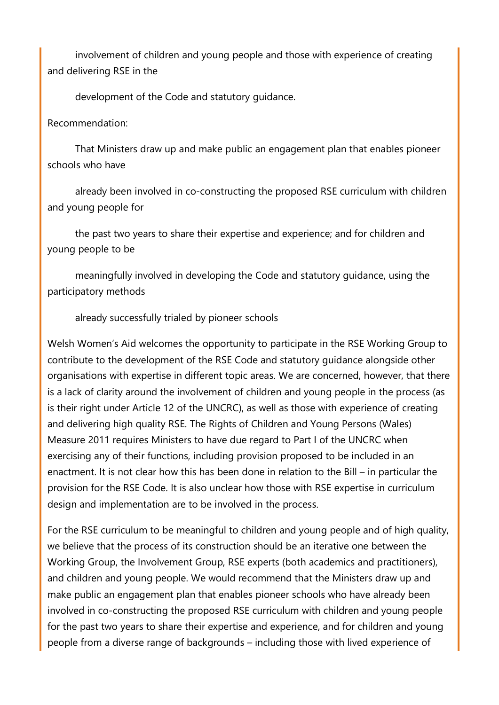involvement of children and young people and those with experience of creating and delivering RSE in the

development of the Code and statutory guidance.

#### Recommendation:

 That Ministers draw up and make public an engagement plan that enables pioneer schools who have

 already been involved in co-constructing the proposed RSE curriculum with children and young people for

 the past two years to share their expertise and experience; and for children and young people to be

 meaningfully involved in developing the Code and statutory guidance, using the participatory methods

already successfully trialed by pioneer schools

Welsh Women's Aid welcomes the opportunity to participate in the RSE Working Group to contribute to the development of the RSE Code and statutory guidance alongside other organisations with expertise in different topic areas. We are concerned, however, that there is a lack of clarity around the involvement of children and young people in the process (as is their right under Article 12 of the UNCRC), as well as those with experience of creating and delivering high quality RSE. The Rights of Children and Young Persons (Wales) Measure 2011 requires Ministers to have due regard to Part I of the UNCRC when exercising any of their functions, including provision proposed to be included in an enactment. It is not clear how this has been done in relation to the Bill – in particular the provision for the RSE Code. It is also unclear how those with RSE expertise in curriculum design and implementation are to be involved in the process.

For the RSE curriculum to be meaningful to children and young people and of high quality, we believe that the process of its construction should be an iterative one between the Working Group, the Involvement Group, RSE experts (both academics and practitioners), and children and young people. We would recommend that the Ministers draw up and make public an engagement plan that enables pioneer schools who have already been involved in co-constructing the proposed RSE curriculum with children and young people for the past two years to share their expertise and experience, and for children and young people from a diverse range of backgrounds – including those with lived experience of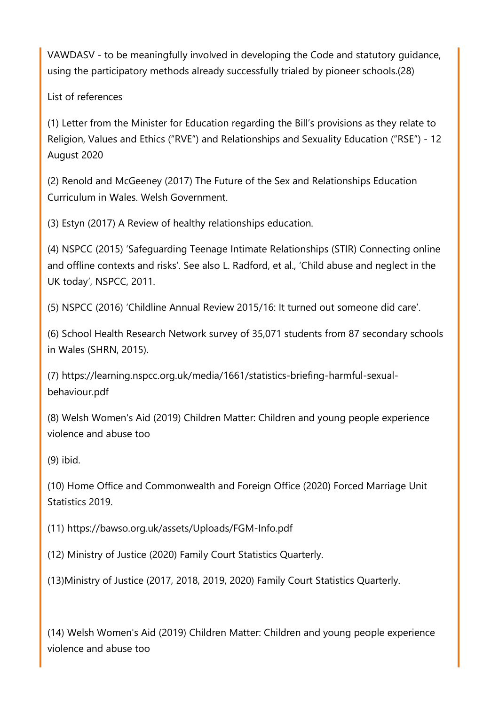VAWDASV - to be meaningfully involved in developing the Code and statutory guidance, using the participatory methods already successfully trialed by pioneer schools.(28)

List of references

(1) Letter from the Minister for Education regarding the Bill's provisions as they relate to Religion, Values and Ethics ("RVE") and Relationships and Sexuality Education ("RSE") - 12 August 2020

(2) Renold and McGeeney (2017) The Future of the Sex and Relationships Education Curriculum in Wales. Welsh Government.

(3) Estyn (2017) A Review of healthy relationships education.

(4) NSPCC (2015) 'Safeguarding Teenage Intimate Relationships (STIR) Connecting online and offline contexts and risks'. See also L. Radford, et al., 'Child abuse and neglect in the UK today', NSPCC, 2011.

(5) NSPCC (2016) 'Childline Annual Review 2015/16: It turned out someone did care'.

(6) School Health Research Network survey of 35,071 students from 87 secondary schools in Wales (SHRN, 2015).

(7) https://learning.nspcc.org.uk/media/1661/statistics-briefing-harmful-sexualbehaviour.pdf

(8) Welsh Women's Aid (2019) Children Matter: Children and young people experience violence and abuse too

(9) ibid.

(10) Home Office and Commonwealth and Foreign Office (2020) Forced Marriage Unit Statistics 2019.

(11) https://bawso.org.uk/assets/Uploads/FGM-Info.pdf

(12) Ministry of Justice (2020) Family Court Statistics Quarterly.

(13)Ministry of Justice (2017, 2018, 2019, 2020) Family Court Statistics Quarterly.

(14) Welsh Women's Aid (2019) Children Matter: Children and young people experience violence and abuse too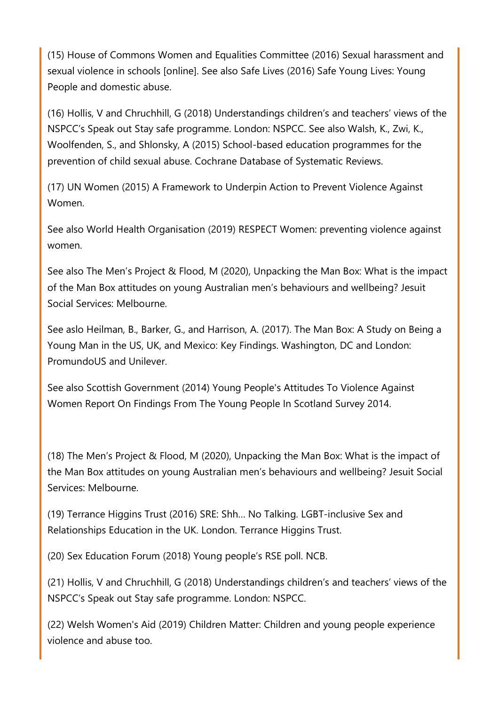(15) House of Commons Women and Equalities Committee (2016) Sexual harassment and sexual violence in schools [online]. See also Safe Lives (2016) Safe Young Lives: Young People and domestic abuse.

(16) Hollis, V and Chruchhill, G (2018) Understandings children's and teachers' views of the NSPCC's Speak out Stay safe programme. London: NSPCC. See also Walsh, K., Zwi, K., Woolfenden, S., and Shlonsky, A (2015) School-based education programmes for the prevention of child sexual abuse. Cochrane Database of Systematic Reviews.

(17) UN Women (2015) A Framework to Underpin Action to Prevent Violence Against Women.

See also World Health Organisation (2019) RESPECT Women: preventing violence against women.

See also The Men's Project & Flood, M (2020), Unpacking the Man Box: What is the impact of the Man Box attitudes on young Australian men's behaviours and wellbeing? Jesuit Social Services: Melbourne.

See aslo Heilman, B., Barker, G., and Harrison, A. (2017). The Man Box: A Study on Being a Young Man in the US, UK, and Mexico: Key Findings. Washington, DC and London: PromundoUS and Unilever.

See also Scottish Government (2014) Young People's Attitudes To Violence Against Women Report On Findings From The Young People In Scotland Survey 2014.

(18) The Men's Project & Flood, M (2020), Unpacking the Man Box: What is the impact of the Man Box attitudes on young Australian men's behaviours and wellbeing? Jesuit Social Services: Melbourne.

(19) Terrance Higgins Trust (2016) SRE: Shh… No Talking. LGBT-inclusive Sex and Relationships Education in the UK. London. Terrance Higgins Trust.

(20) Sex Education Forum (2018) Young people's RSE poll. NCB.

(21) Hollis, V and Chruchhill, G (2018) Understandings children's and teachers' views of the NSPCC's Speak out Stay safe programme. London: NSPCC.

(22) Welsh Women's Aid (2019) Children Matter: Children and young people experience violence and abuse too.